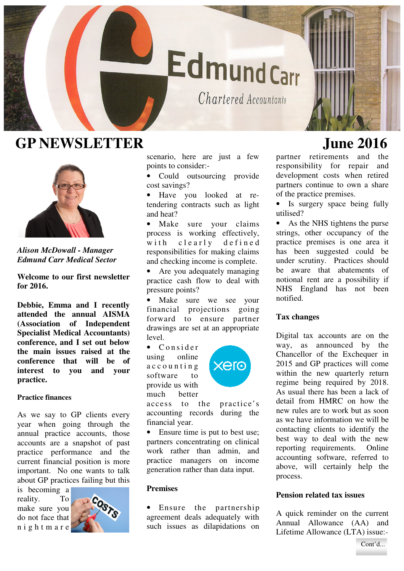

# GP NEWSLETTER June 2016



*Alison McDowall - Manager Edmund Carr Medical Sector* 

**Welcome to our first newsletter for 2016.** 

**Debbie, Emma and I recently attended the annual AISMA (Association of Independent Specialist Medical Accountants) conference, and I set out below the main issues raised at the conference that will be of interest to you and your practice.** 

# **Practice finances**

As we say to GP clients every year when going through the annual practice accounts, those accounts are a snapshot of past practice performance and the current financial position is more important. No one wants to talk about GP practices failing but this

is becoming a reality. To make sure you do not face that n i g h t m a r e



scenario, here are just a few points to consider:-

• Could outsourcing provide cost savings?

• Have you looked at retendering contracts such as light and heat?

• Make sure your claims process is working effectively, with clearly defined responsibilities for making claims and checking income is complete.

• Are you adequately managing practice cash flow to deal with pressure points?

• Make sure we see your financial projections going forward to ensure partner drawings are set at an appropriate level.

• Consider using online a c c o u n t i n g software to provide us with much better



access to the practice's accounting records during the financial year.

• Ensure time is put to best use; partners concentrating on clinical work rather than admin, and practice managers on income generation rather than data input.

## **Premises**

• Ensure the partnership agreement deals adequately with such issues as dilapidations on

partner retirements and the responsibility for repair and development costs when retired partners continue to own a share of the practice premises.

Is surgery space being fully utilised?

• As the NHS tightens the purse strings, other occupancy of the practice premises is one area it has been suggested could be under scrutiny. Practices should be aware that abatements of notional rent are a possibility if NHS England has not been notified.

## **Tax changes**

Digital tax accounts are on the way, as announced by the Chancellor of the Exchequer in 2015 and GP practices will come within the new quarterly return regime being required by 2018. As usual there has been a lack of detail from HMRC on how the new rules are to work but as soon as we have information we will be contacting clients to identify the best way to deal with the new reporting requirements. Online accounting software, referred to above, will certainly help the process.

## **Pension related tax issues**

A quick reminder on the current Annual Allowance (AA) and Lifetime Allowance (LTA) issue:-